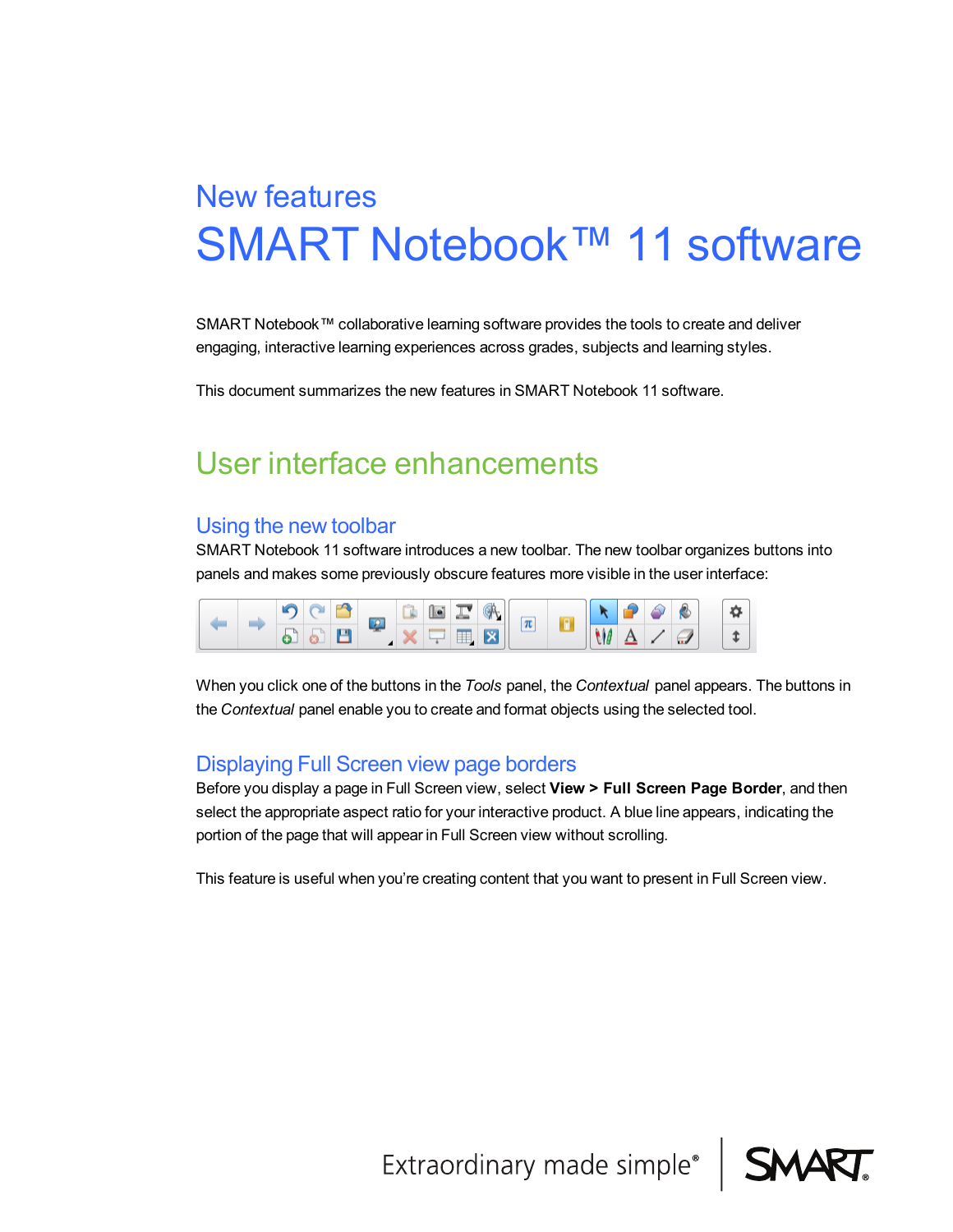# SMART Notebook™ 11 software New features

SMART Notebook™ collaborative learning software provides the tools to create and deliver engaging, interactive learning experiences across grades, subjects and learning styles.

This document summarizes the new features in SMART Notebook 11 software.

# User interface enhancements

#### Using the new toolbar

SMART Notebook 11 software introduces a new toolbar. The new toolbar organizes buttons into panels and makes some previously obscure features more visible in the user interface:



When you click one of the buttons in the *Tools* panel, the *Contextual* panel appears. The buttons in the *Contextual* panel enable you to create and format objects using the selected tool.

#### Displaying Full Screen view page borders

Before you display a page in Full Screen view, select **View > Full Screen Page Border**, and then select the appropriate aspect ratio for your interactive product. A blue line appears, indicating the portion of the page that will appear in Full Screen view without scrolling.

This feature is useful when you're creating content that you want to present in Full Screen view.

Extraordinary made simple®

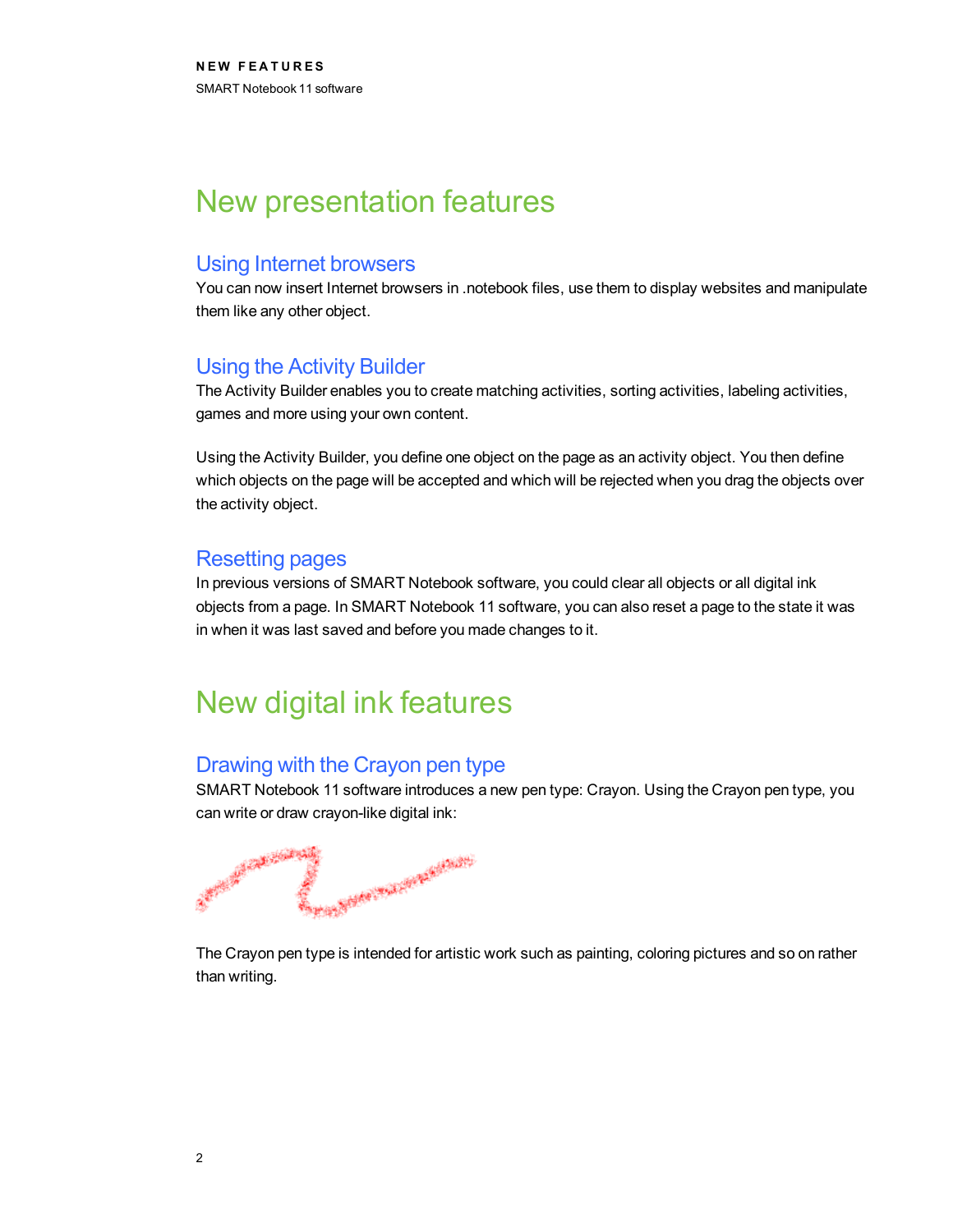# New presentation features

#### Using Internet browsers

You can now insert Internet browsers in .notebook files, use them to display websites and manipulate them like any other object.

#### Using the Activity Builder

The Activity Builder enables you to create matching activities, sorting activities, labeling activities, games and more using your own content.

Using the Activity Builder, you define one object on the page as an activity object. You then define which objects on the page will be accepted and which will be rejected when you drag the objects over the activity object.

#### Resetting pages

In previous versions of SMART Notebook software, you could clear all objects or all digital ink objects from a page. In SMART Notebook 11 software, you can also reset a page to the state it was in when it was last saved and before you made changes to it.

# New digital ink features

### Drawing with the Crayon pen type

SMART Notebook 11 software introduces a new pen type: Crayon. Using the Crayon pen type, you can write or draw crayon-like digital ink:

A Mary Court of Children Company of the Party of the Company

The Crayon pen type is intended for artistic work such as painting, coloring pictures and so on rather than writing.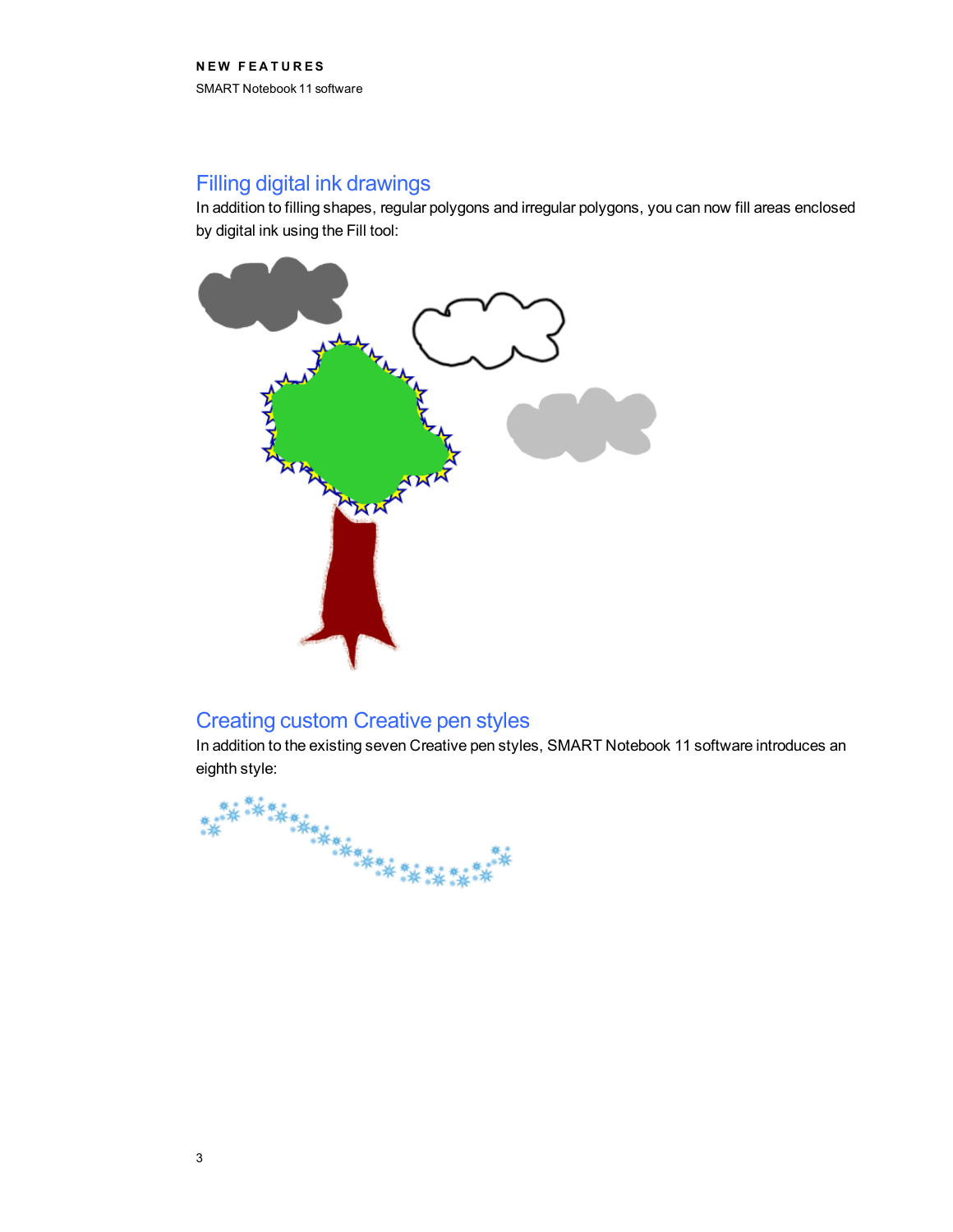# Filling digital ink drawings

In addition to filling shapes, regular polygons and irregular polygons, you can now fill areas enclosed by digital ink using the Fill tool:



### Creating custom Creative pen styles

In addition to the existing seven Creative pen styles, SMART Notebook 11 software introduces an eighth style:

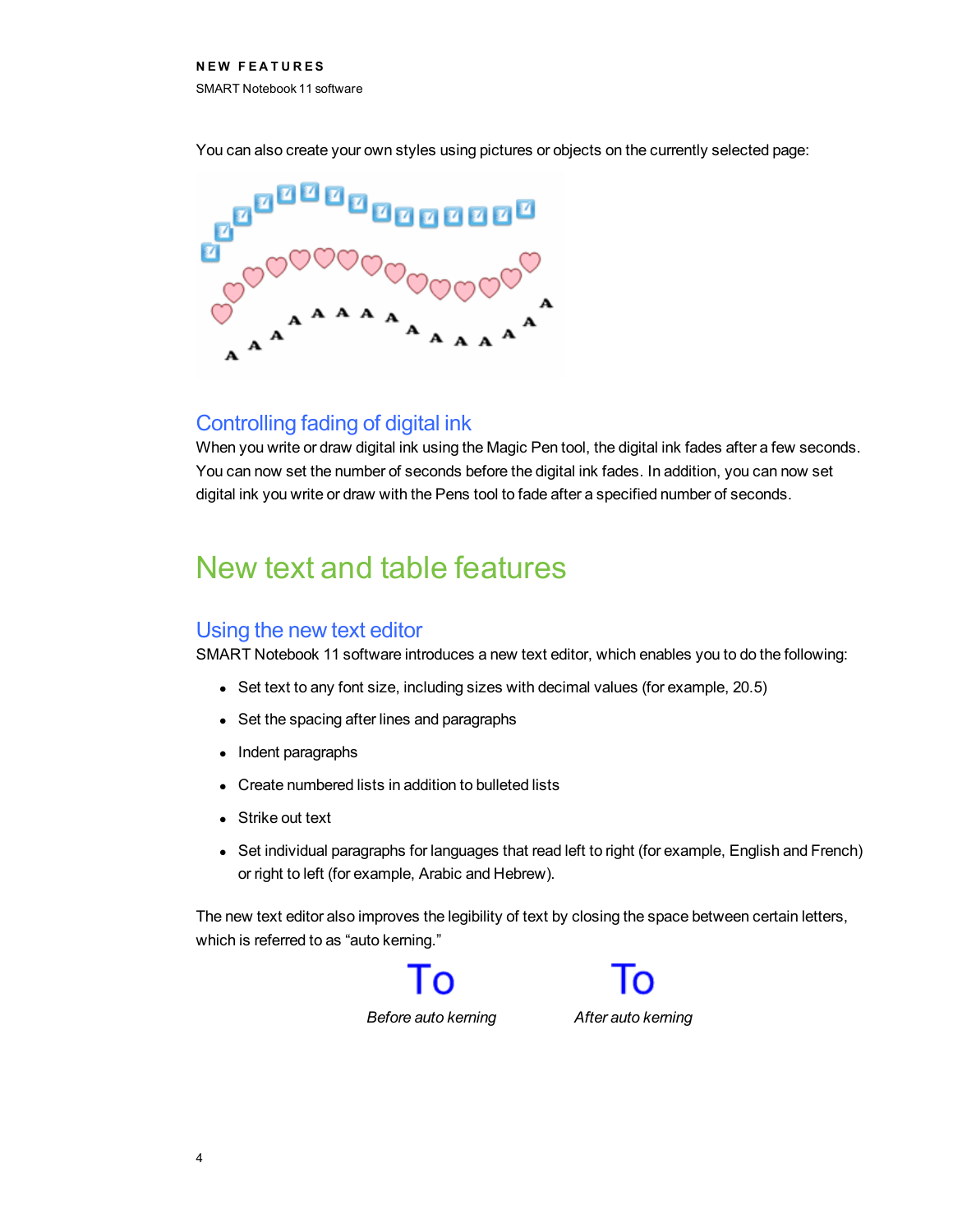You can also create your own styles using pictures or objects on the currently selected page:



### Controlling fading of digital ink

When you write or draw digital ink using the Magic Pen tool, the digital ink fades after a few seconds. You can now set the number of seconds before the digital ink fades. In addition, you can now set digital ink you write or draw with the Pens tool to fade after a specified number of seconds.

# New text and table features

#### Using the new text editor

SMART Notebook 11 software introduces a new text editor, which enables you to do the following:

- Set text to any font size, including sizes with decimal values (for example, 20.5)
- Set the spacing after lines and paragraphs
- Indent paragraphs
- Create numbered lists in addition to bulleted lists
- Strike out text
- Set individual paragraphs for languages that read left to right (for example, English and French) or right to left (for example, Arabic and Hebrew).

The new text editor also improves the legibility of text by closing the space between certain letters, which is referred to as "auto kerning."



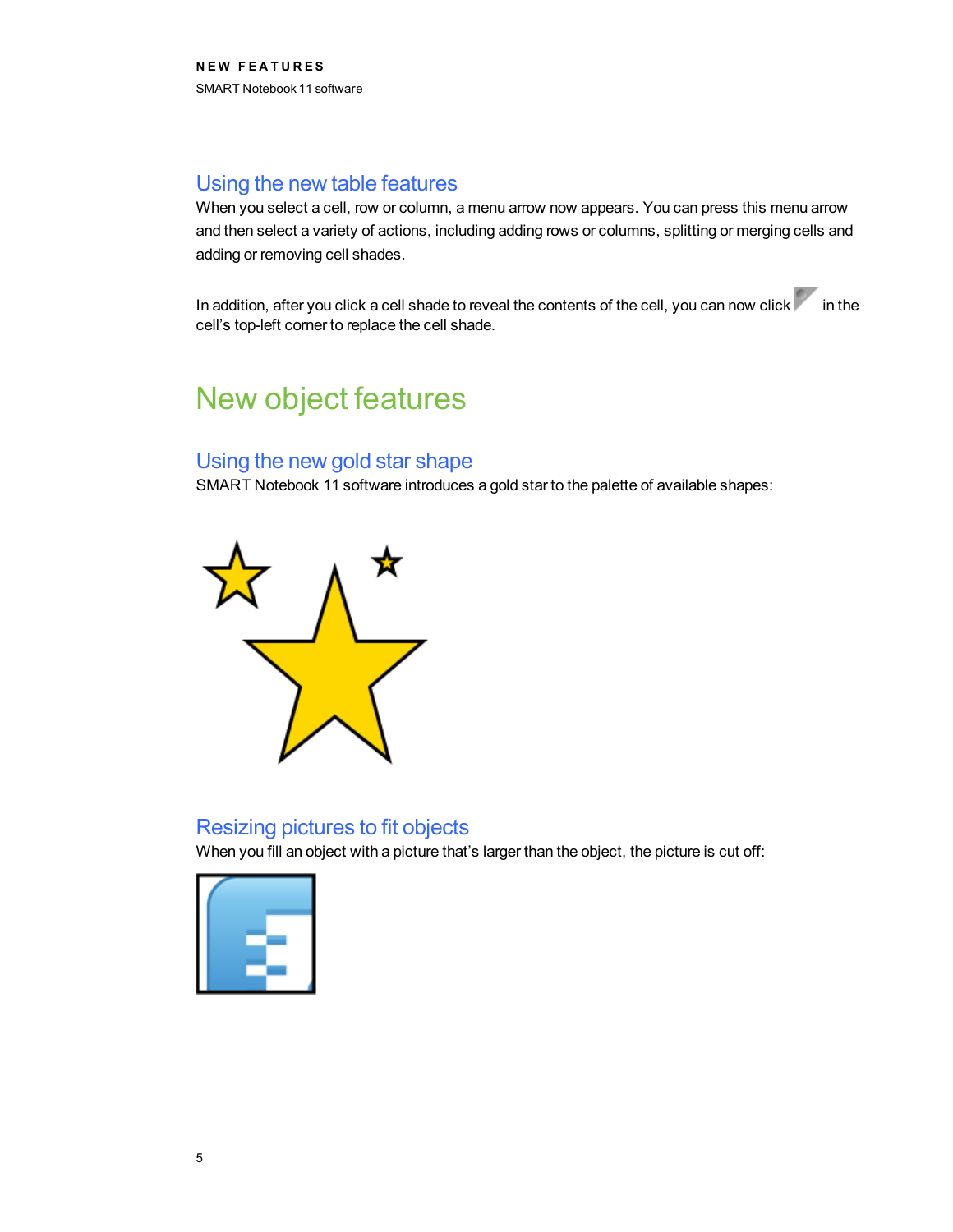## Using the new table features

When you select a cell, row or column, a menu arrow now appears. You can press this menu arrow and then select a variety of actions, including adding rows or columns, splitting or merging cells and adding or removing cell shades.

In addition, after you click a cell shade to reveal the contents of the cell, you can now click in the cell's top-left corner to replace the cell shade.

# New object features

### Using the new gold star shape

SMART Notebook 11 software introduces a gold star to the palette of available shapes:



### Resizing pictures to fit objects

When you fill an object with a picture that's larger than the object, the picture is cut off: